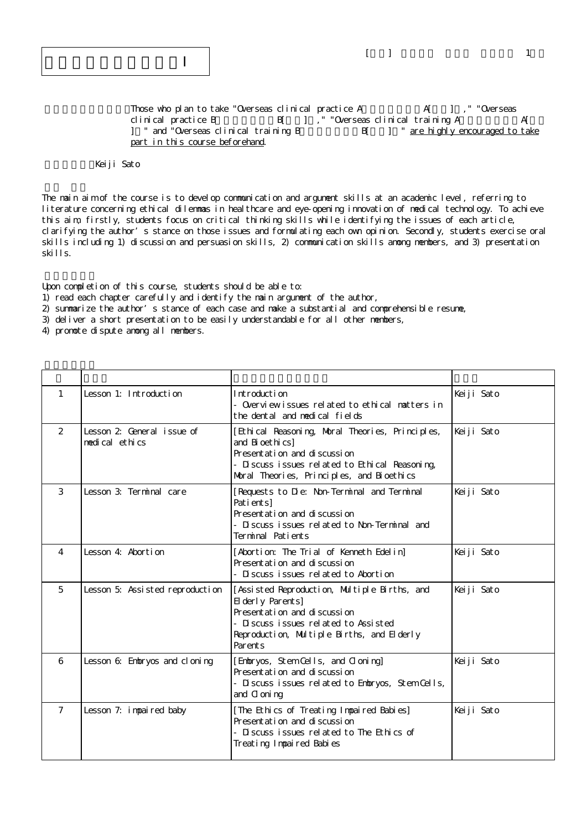$\lceil \quad \rceil$ 

Those who plan to take "Overseas clinical practice A $A$   $A$ [  $I$ ], " "Overseas clinical practice B
B  $\begin{bmatrix} 1 \\ 1 \end{bmatrix}$ , "Overseas clinical training A
A[ ] " and "Overseas clinical training B B[ ] " are highly encouraged to take part in this course beforehand.

## Keiji Sato

The main aim of the course is to develop communication and argument skills at an academic level, referring to literature concerning ethical dilemmas in healthcare and eye-opening innovation of medical technology. To achieve this aim, firstly, students focus on critical thinking skills while identifying the issues of each article, clarifying the author's stance on those issues and formulating each own opinion. Secondly, students exercise oral skills including 1) discussion and persuasion skills, 2) communication skills anong members, and 3) presentation skills.

Upon completion of this course, students should be able to:

1) read each chapter carefully and identify the main argument of the author,

2) summarize the author's stance of each case and make a substantial and comprehensible resume,

3) deliver a short presentation to be easily understandable for all other members,

4) promote dispute among all members.

| $\mathbf{1}$   | Lesson 1: Introduction                      | Introduction<br>- Overviewissues related to ethical matters in<br>the dental and medical fields                                                                                                   | Keiji Sato |
|----------------|---------------------------------------------|---------------------------------------------------------------------------------------------------------------------------------------------------------------------------------------------------|------------|
| $\mathcal{P}$  | Lesson 2 General issue of<br>medical ethics | [Ethical Reasoning, Moral Theories, Principles,<br>and Bi oethi cs]<br>Presentation and discussion<br>- Discuss issues related to Ethical Reasoning,<br>Moral Theories, Principles, and Bioethics | Keiji Sato |
| 3              | Lesson 3: Terminal care                     | [Requests to Die: Non-Terminal and Terminal<br>Pati ents]<br>Presentation and discussion<br>- Discuss issues related to Non-Terminal and<br>Terminal Patients                                     | Keiji Sato |
| $\overline{4}$ | Lesson 4: Abortion                          | [Abortion: The Trial of Kenneth Edelin]<br>Presentation and discussion<br>- Discuss issues related to Abortion                                                                                    | Keiji Sato |
| 5              | Lesson 5: Assisted reproduction             | [Assisted Reproduction, Multiple Births, and<br>El derly Parents]<br>Presentation and discussion<br>- Discuss issues related to Assisted<br>Reproduction, Multiple Births, and Elderly<br>Parents | Keiji Sato |
| 6              | Lesson 6: Embryos and cloning               | [Embryos, Stem Cells, and Cloning]<br>Presentati on and di scussi on<br>- Discuss issues related to Embryos, Stem Cells,<br>and C oni ng                                                          | Keiji Sato |
| $\overline{7}$ | Lesson 7: impaired baby                     | [The Ethics of Treating Impaired Babies]<br>Presentation and discussion<br>- Discuss issues related to The Ethics of<br>Treating Impaired Babies                                                  | Keiji Sato |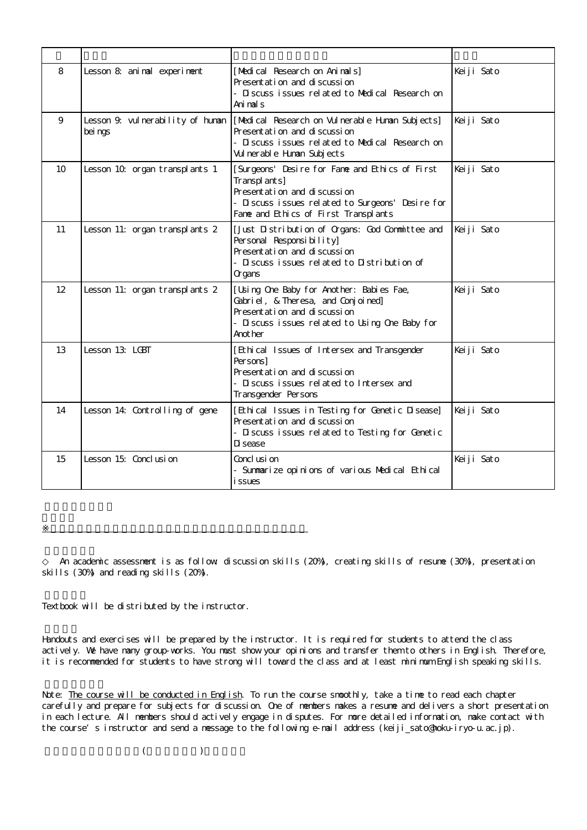| 8  | Lesson 8: animal experiment                  | [Medical Research on Animals]<br>Presentation and discussion<br>- Discuss issues related to Medical Research on<br>Animals                                                                | Keiji Sato |
|----|----------------------------------------------|-------------------------------------------------------------------------------------------------------------------------------------------------------------------------------------------|------------|
| 9  | Lesson 9. vul nerability of human<br>bei ngs | [Medical Research on Vulnerable Human Subjects]<br>Presentation and discussion<br>- Discuss issues related to Medical Research on<br>Vul nerable Human Subjects                           | Keiji Sato |
| 10 | Lesson 10 organ transplants 1                | [Surgeons' Desire for Fame and Ethics of First<br>Transplants]<br>Presentation and discussion<br>- Discuss issues related to Surgeons' Desire for<br>Fame and Ethics of First Transplants | Keiji Sato |
| 11 | Lesson 11: organ transplants 2               | [Just Distribution of Organs: God Committee and<br>Personal Responsibility]<br>Presentation and discussion<br>- Discuss issues related to Distribution of<br>Cr gans                      | Keiji Sato |
| 12 | Lesson 11: organ transplants 2               | [Usi ng One Baby for Another: Babi es Fae,<br>Gabriel, & Theresa, and Conjoined]<br>Presentation and discussion<br>- Discuss issues related to Using One Baby for<br>Anot her             | Keiji Sato |
| 13 | Lesson 13: LGBT                              | [Ethi cal Issues of Intersex and Transgender<br>Per sons]<br>Presentation and discussion<br>- Discuss issues related to Intersex and<br>Transgender Persons                               | Keiji Sato |
| 14 | Lesson 14: Controlling of gene               | [Ethical Issues in Testing for Genetic Disease]<br>Presentation and discussion<br>- Discuss issues related to Testing for Genetic<br>Di sease                                             | Keiji Sato |
| 15 | Lesson 15: Conclusion                        | Concl usi on<br>- Summarize opinions of various Medical Ethical<br><i>i</i> ssues                                                                                                         | Keiji Sato |

An academic assessment is as follow discussion skills (20%), creating skills of resume (30%), presentation skills (30%) and reading skills (20%).

Textbook will be distributed by the instructor.

※授業実施形態は、各学部(研究科)、学校の授業実施方針による

Handouts and exercises will be prepared by the instructor. It is required for students to attend the class actively. We have many group-vorks. You must show your opinions and transfer them to others in English. Therefore, it is recommended for students to have strong will toward the class and at least minimum English speaking skills.

Note: The course will be conducted in English. To run the course smoothly, take a time to read each chapter carefully and prepare for subjects for discussion. One of members makes a resume and delivers a short presentation in each lecture. All members should actively engage in disputes. For more detailed information, make contact with the course's instructor and send a message to the following e-mail address (keiji\_sato@hoku-iryo-u.ac.jp).

 $($